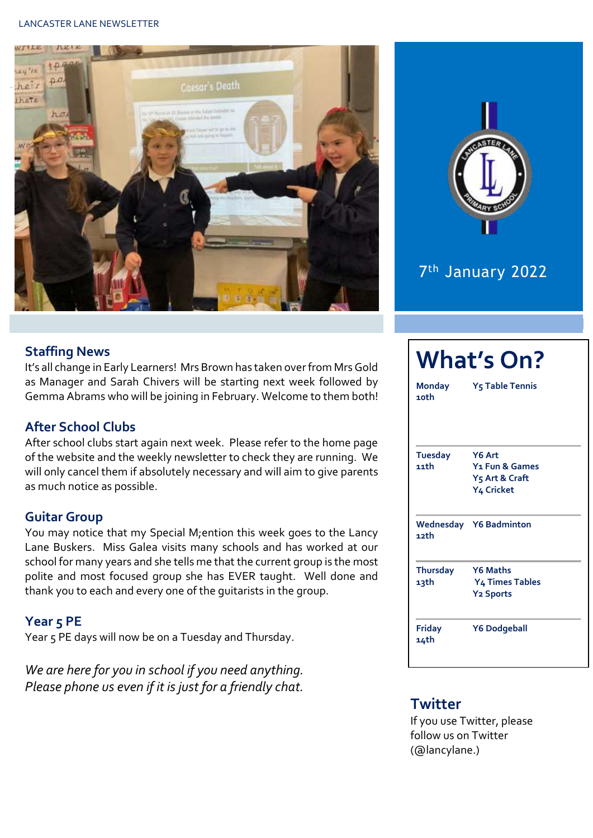#### LANCASTER LANE NEWSLETTER





## 7 th January 2022

## **Staffing News**

It's all change in Early Learners! Mrs Brown has taken over from Mrs Gold as Manager and Sarah Chivers will be starting next week followed by Gemma Abrams who will be joining in February. Welcome to them both!

## **After School Clubs**

After school clubs start again next week. Please refer to the home page of the website and the weekly newsletter to check they are running. We will only cancel them if absolutely necessary and will aim to give parents as much notice as possible.

### **Guitar Group**

You may notice that my Special M;ention this week goes to the Lancy Lane Buskers. Miss Galea visits many schools and has worked at our school for many years and she tells me that the current group is the most polite and most focused group she has EVER taught. Well done and thank you to each and every one of the guitarists in the group.

## **Year 5 PE**

Year 5 PE days will now be on a Tuesday and Thursday.

*We are here for you in school if you need anything. Please phone us even if it is just for a friendly chat.* 

# **What's On? Monday Y5 Table Tennis 10th Tuesday Y6 Art 11th Y1 Fun & Games Y5 Art & Craft Y4 Cricket Wednesday Y6 Badminton 12th Thursday Y6 Maths 13th Y4 Times Tables Y2 Sports Friday Y6 Dodgeball 14th**

## **Twitter**

If you use Twitter, please follow us on Twitter (@lancylane.)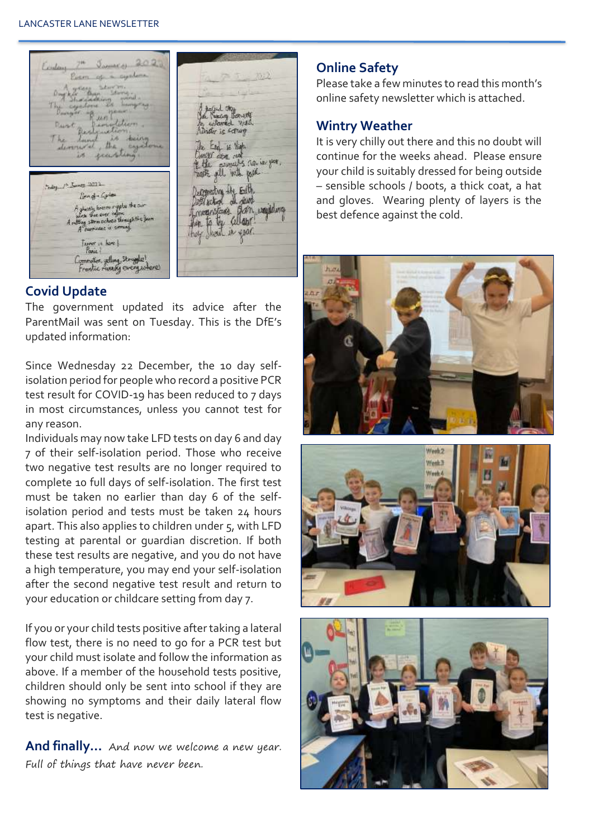#### LANCASTER LANE NEWSLETTER

 $J_{\text{boundary}}$  2023 Pier 10 - cy gud th<mark>y</mark><br>Nuccing Herusty<br>Atemied Wald der is serving  $,$  the the Eng. Is high. Concert about not no in your, quick zook all with pose haby 1 Lunes 2011 Deponding the Eith<br>Dollard at don't<br>Troperators Born wajdung<br>then to the calgar! Render Cold sky hneser ryjpla the cur<br>. The ever refere co through the fear Tenner in News 1.<br>Panic ? Comention velling Struggle!<br>Frantic running everywhere!

## **Covid Update**

The government updated its advice after the ParentMail was sent on Tuesday. This is the DfE's updated information:

Since Wednesday 22 December, the 10 day selfisolation period for people who record a positive PCR test result for COVID-19 has been reduced to 7 days in most circumstances, unless you cannot test for any reason.

Individuals may now take LFD tests on day 6 and day 7 of their self-isolation period. Those who receive two negative test results are no longer required to complete 10 full days of self-isolation. The first test must be taken no earlier than day 6 of the selfisolation period and tests must be taken 24 hours apart. This also applies to children under  $5$ , with LFD testing at parental or guardian discretion. If both these test results are negative, and you do not have a high temperature, you may end your self-isolation after the second negative test result and return to your education or childcare setting from day 7.

If you or your child tests positive after taking a lateral flow test, there is no need to go for a PCR test but your child must isolate and follow the information as above. If a member of the household tests positive, children should only be sent into school if they are showing no symptoms and their daily lateral flow test is negative.

**And finally…** And now we welcome a new year. Full of things that have never been.

## **Online Safety**

Please take a few minutes to read this month's online safety newsletter which is attached.

### **Wintry Weather**

It is very chilly out there and this no doubt will continue for the weeks ahead. Please ensure your child is suitably dressed for being outside – sensible schools / boots, a thick coat, a hat and gloves. Wearing plenty of layers is the best defence against the cold.